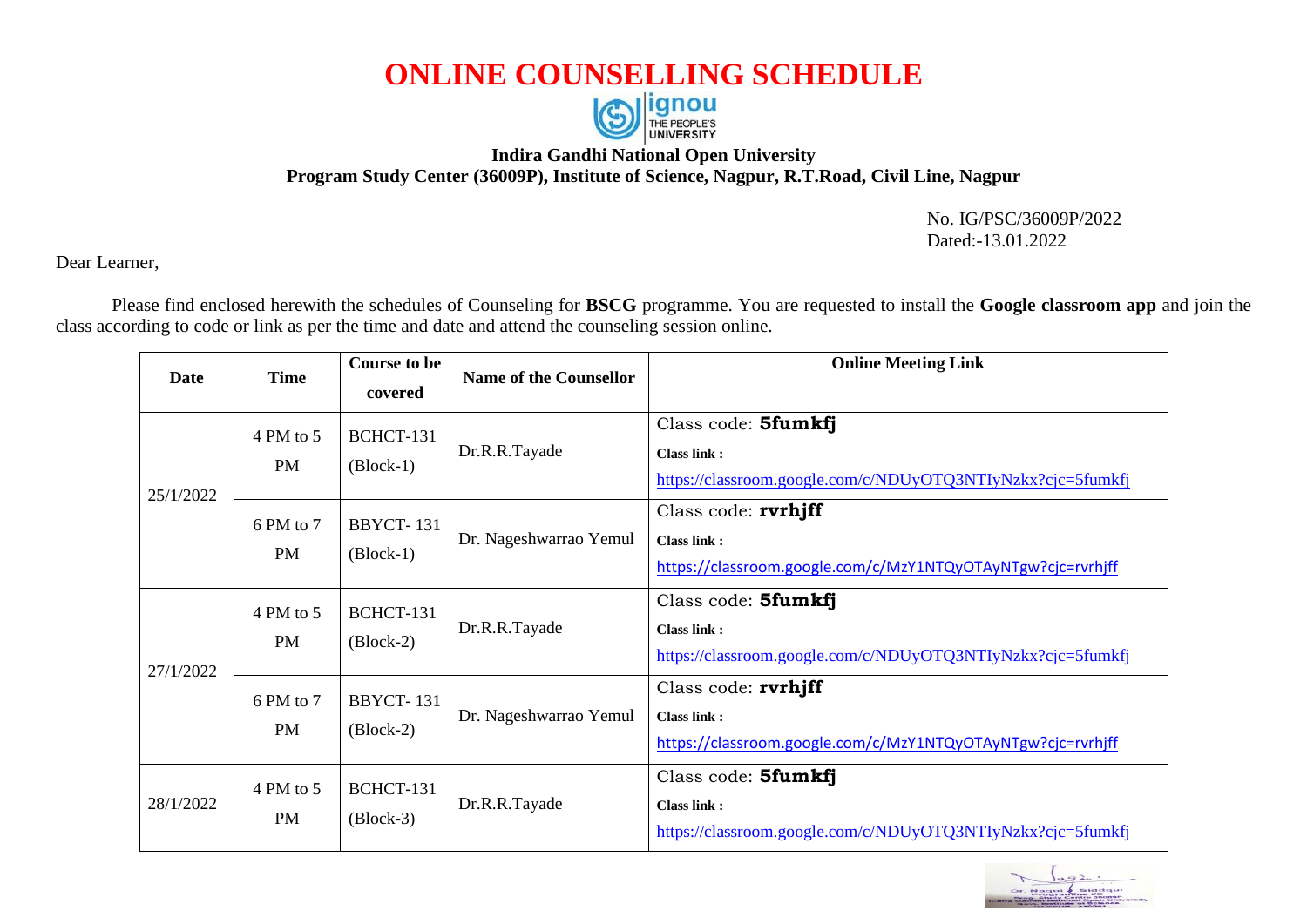## **ONLINE COUNSELLING SCHEDULE**



## **Indira Gandhi National Open University Program Study Center (36009P), Institute of Science, Nagpur, R.T.Road, Civil Line, Nagpur**

 No. IG/PSC/36009P/2022 Dated:-13.01.2022

Dear Learner,

Please find enclosed herewith the schedules of Counseling for **BSCG** programme. You are requested to install the **Google classroom app** and join the class according to code or link as per the time and date and attend the counseling session online.

| Date      | <b>Time</b>                                               | <b>Course to be</b><br>covered  | <b>Name of the Counsellor</b>                                                                       | <b>Online Meeting Link</b>                                                                               |
|-----------|-----------------------------------------------------------|---------------------------------|-----------------------------------------------------------------------------------------------------|----------------------------------------------------------------------------------------------------------|
| 25/1/2022 | 4 PM to 5<br><b>PM</b>                                    | BCHCT-131<br>$(Block-1)$        | Dr.R.R.Tayade                                                                                       | Class code: 5fumkfj<br><b>Class link:</b><br>https://classroom.google.com/c/NDUyOTQ3NTIyNzkx?cjc=5fumkfj |
|           | 6 PM to 7<br><b>BBYCT-131</b><br><b>PM</b><br>$(Block-1)$ | Dr. Nageshwarrao Yemul          | Class code: $rvrhjff$<br>Class link:<br>https://classroom.google.com/c/MzY1NTQyOTAyNTgw?cjc=rvrhjff |                                                                                                          |
| 27/1/2022 | 4 PM to 5<br><b>PM</b>                                    | BCHCT-131<br>$(Block-2)$        | Dr.R.R.Tayade                                                                                       | Class code: 5fumkfj<br>Class link:<br>https://classroom.google.com/c/NDUyOTQ3NTIyNzkx?cjc=5fumkfj        |
|           | 6 PM to 7<br><b>PM</b>                                    | <b>BBYCT-131</b><br>$(Block-2)$ | Dr. Nageshwarrao Yemul                                                                              | Class code: rvrhjff<br>Class link:<br>https://classroom.google.com/c/MzY1NTQyOTAyNTgw?cjc=rvrhjff        |
| 28/1/2022 | 4 PM to 5<br>PM                                           | BCHCT-131<br>$(Block-3)$        | Dr.R.R.Tayade                                                                                       | Class code: 5fumkfj<br><b>Class link:</b><br>https://classroom.google.com/c/NDUyOTQ3NTIyNzkx?cjc=5fumkfj |

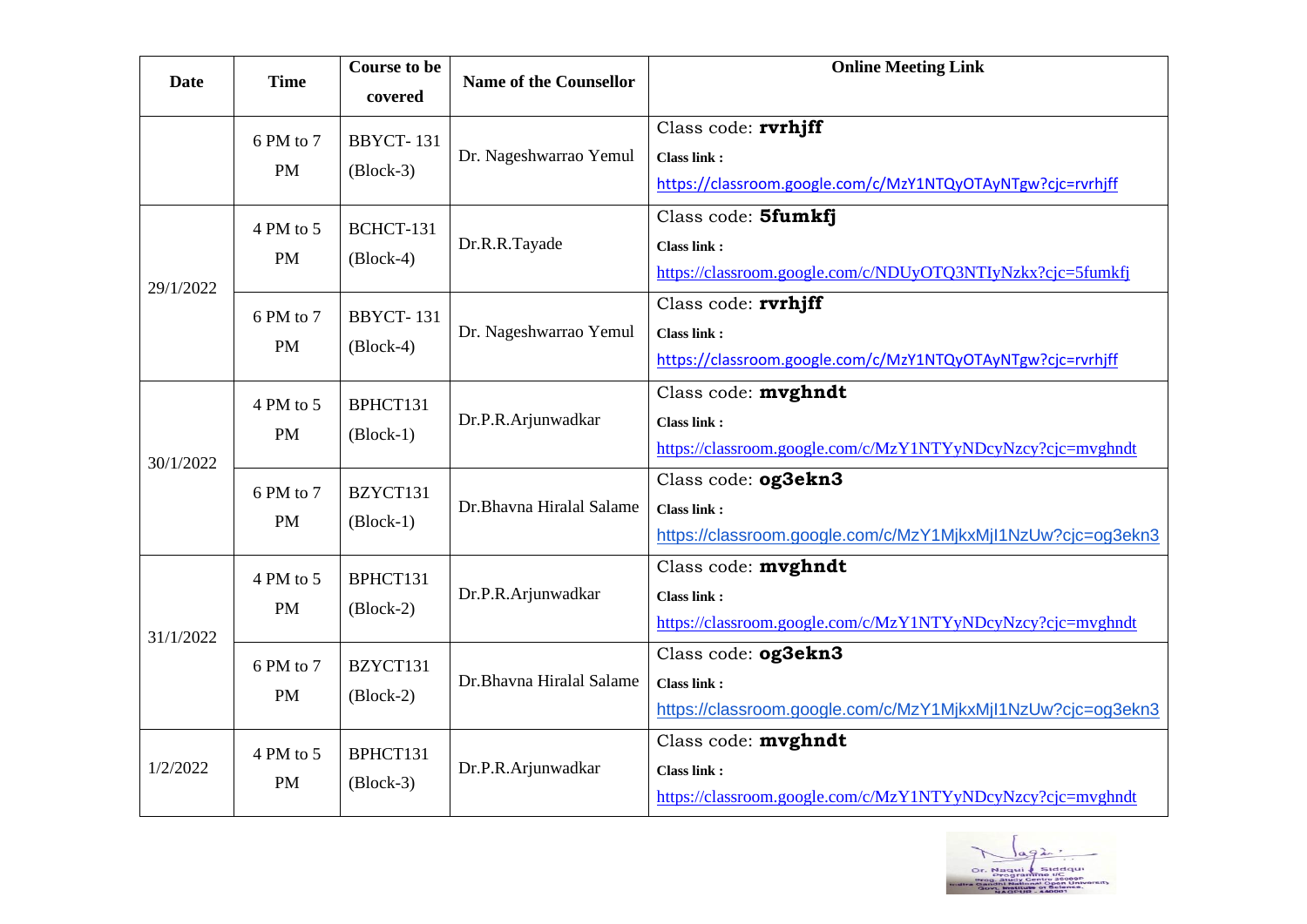| <b>Date</b> | <b>Time</b>            | <b>Course to be</b><br>covered                            | <b>Name of the Counsellor</b> | <b>Online Meeting Link</b>                                                                               |
|-------------|------------------------|-----------------------------------------------------------|-------------------------------|----------------------------------------------------------------------------------------------------------|
|             | 6 PM to 7<br><b>PM</b> | <b>BBYCT-131</b><br>$(Block-3)$                           | Dr. Nageshwarrao Yemul        | Class code: rvrhjff<br><b>Class link:</b><br>https://classroom.google.com/c/MzY1NTQyOTAyNTgw?cjc=rvrhjff |
| 29/1/2022   | 4 PM to 5<br><b>PM</b> | BCHCT-131<br>$(Block-4)$                                  | Dr.R.R.Tayade                 | Class code: 5fumkfj<br><b>Class link:</b><br>https://classroom.google.com/c/NDUyOTQ3NTIyNzkx?cjc=5fumkfj |
|             | 6 PM to 7<br><b>PM</b> | <b>BBYCT-131</b><br>$(Block-4)$                           | Dr. Nageshwarrao Yemul        | Class code: rvrhjff<br>Class link:<br>https://classroom.google.com/c/MzY1NTQyOTAyNTgw?cjc=rvrhjff        |
| 30/1/2022   | 4 PM to 5<br><b>PM</b> | BPHCT131<br>$(Block-1)$                                   | Dr.P.R.Arjunwadkar            | Class code: mvghndt<br><b>Class link:</b><br>https://classroom.google.com/c/MzY1NTYyNDcyNzcy?cjc=mvghndt |
|             | 6 PM to 7<br><b>PM</b> | BZYCT131<br>$(Block-1)$                                   | Dr.Bhavna Hiralal Salame      | Class code: og3ekn3<br><b>Class link:</b><br>https://classroom.google.com/c/MzY1MjkxMjl1NzUw?cjc=og3ekn3 |
| 31/1/2022   | 4 PM to 5<br><b>PM</b> | BPHCT131<br>$(Block-2)$                                   | Dr.P.R.Arjunwadkar            | Class code: mvghndt<br><b>Class link:</b><br>https://classroom.google.com/c/MzY1NTYyNDcyNzcy?cjc=mvghndt |
|             | 6 PM to 7<br><b>PM</b> | BZYCT131<br>$(Block-2)$                                   | Dr.Bhavna Hiralal Salame      | Class code: og3ekn3<br><b>Class link:</b><br>https://classroom.google.com/c/MzY1MjkxMjl1NzUw?cjc=og3ekn3 |
| 1/2/2022    | 4 PM to 5<br><b>PM</b> | BPHCT131<br>$\left(\frac{\text{Block-3}}{\text{}}\right)$ | Dr.P.R.Arjunwadkar            | Class code: mvghndt<br><b>Class link:</b><br>https://classroom.google.com/c/MzY1NTYyNDcyNzcy?cjc=mvghndt |

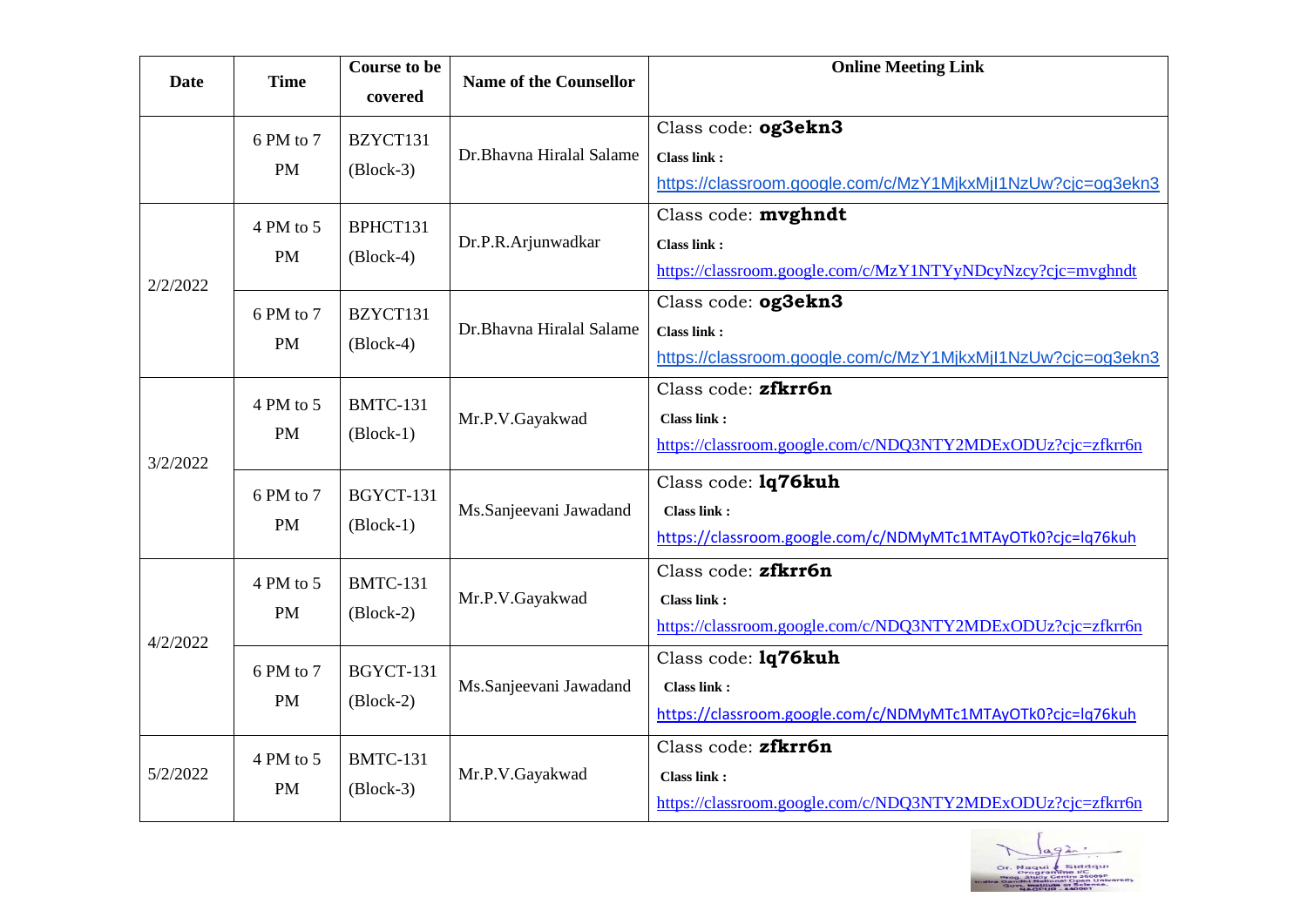| <b>Date</b> | <b>Time</b>            | <b>Course to be</b><br>covered                                   | <b>Name of the Counsellor</b> | <b>Online Meeting Link</b>                                                                               |
|-------------|------------------------|------------------------------------------------------------------|-------------------------------|----------------------------------------------------------------------------------------------------------|
|             | 6 PM to 7<br><b>PM</b> | BZYCT131<br>$(Block-3)$                                          | Dr.Bhavna Hiralal Salame      | Class code: og3ekn3<br><b>Class link:</b><br>https://classroom.google.com/c/MzY1MjkxMjl1NzUw?cjc=og3ekn3 |
| 2/2/2022    | 4 PM to 5<br><b>PM</b> | BPHCT131<br>$(Block-4)$                                          | Dr.P.R.Arjunwadkar            | Class code: mvghndt<br><b>Class link:</b><br>https://classroom.google.com/c/MzY1NTYyNDcyNzcy?cjc=mvghndt |
|             | 6 PM to 7<br><b>PM</b> | BZYCT131<br>$(Block-4)$                                          | Dr.Bhavna Hiralal Salame      | Class code: og3ekn3<br><b>Class link:</b><br>https://classroom.google.com/c/MzY1MjkxMjl1NzUw?cjc=og3ekn3 |
| 3/2/2022    | 4 PM to 5<br><b>PM</b> | <b>BMTC-131</b><br>$\left( \text{Block-1} \right)$               | Mr.P.V.Gayakwad               | Class code: zfkrr6n<br><b>Class link:</b><br>https://classroom.google.com/c/NDQ3NTY2MDExODUz?cjc=zfkrr6n |
|             | 6 PM to 7<br><b>PM</b> | BGYCT-131<br>$(Block-1)$                                         | Ms.Sanjeevani Jawadand        | Class code: 1q76kuh<br><b>Class link:</b><br>https://classroom.google.com/c/NDMyMTc1MTAyOTk0?cjc=lq76kuh |
| 4/2/2022    | 4 PM to 5<br><b>PM</b> | <b>BMTC-131</b><br>$\left(\frac{\text{Block-2}}{\text{}}\right)$ | Mr.P.V.Gayakwad               | Class code: zfkrr6n<br>Class link:<br>https://classroom.google.com/c/NDQ3NTY2MDExODUz?cjc=zfkrr6n        |
|             | 6 PM to 7<br><b>PM</b> | BGYCT-131<br>$(Block-2)$                                         | Ms.Sanjeevani Jawadand        | Class code: 1q76kuh<br>Class link:<br>https://classroom.google.com/c/NDMyMTc1MTAyOTk0?cjc=lq76kuh        |
| 5/2/2022    | 4 PM to 5<br><b>PM</b> | <b>BMTC-131</b><br>$(Block-3)$                                   | Mr.P.V.Gayakwad               | Class code: zfkrr6n<br><b>Class link:</b><br>https://classroom.google.com/c/NDQ3NTY2MDExODUz?cjc=zfkrr6n |

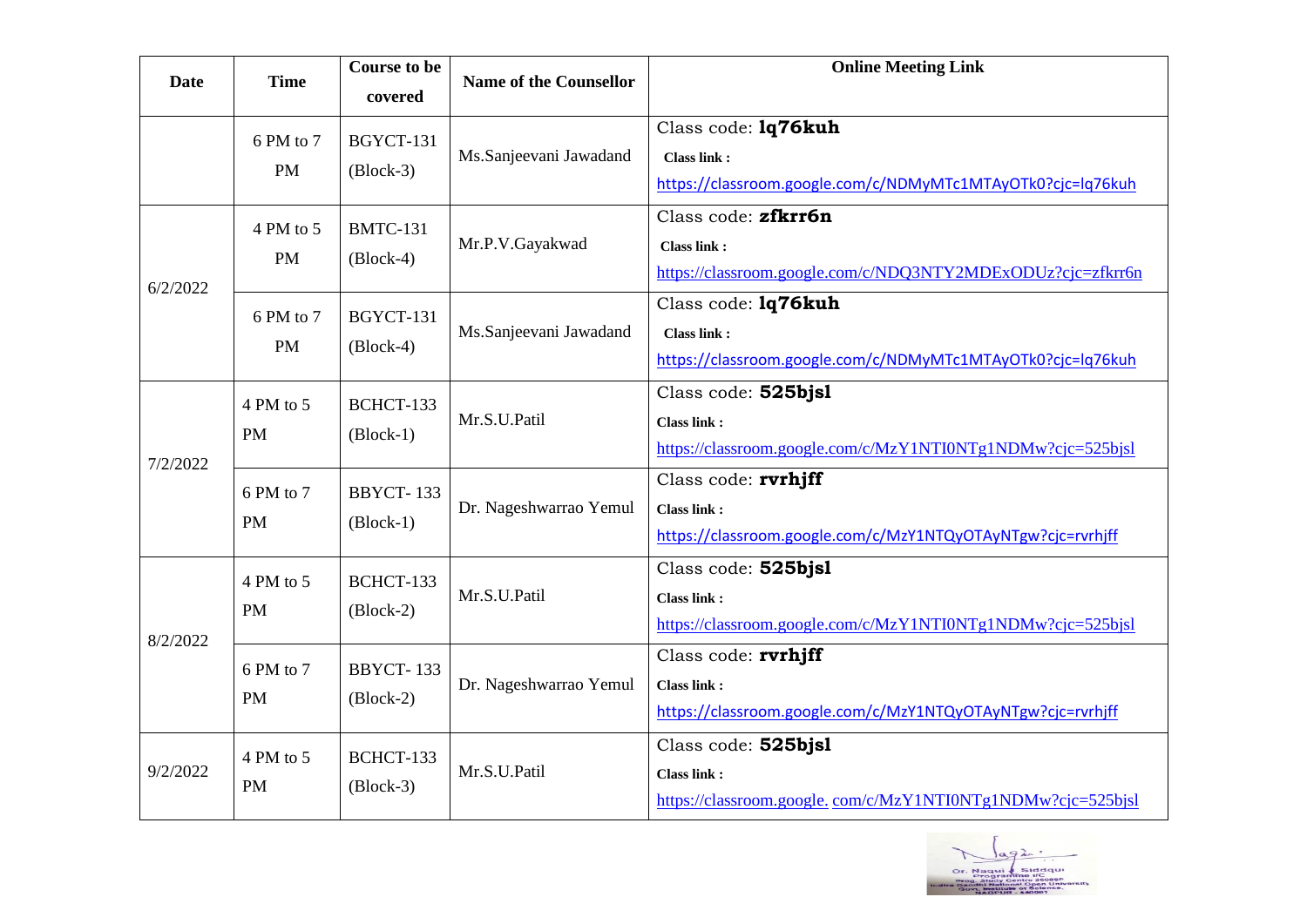| <b>Date</b> | <b>Time</b>            | <b>Course to be</b><br>covered               | <b>Name of the Counsellor</b> | <b>Online Meeting Link</b>                                                                               |
|-------------|------------------------|----------------------------------------------|-------------------------------|----------------------------------------------------------------------------------------------------------|
|             | 6 PM to 7<br><b>PM</b> | BGYCT-131<br>$(Block-3)$                     | Ms.Sanjeevani Jawadand        | Class code: 1q76kuh<br><b>Class link:</b><br>https://classroom.google.com/c/NDMyMTc1MTAyOTk0?cjc=lq76kuh |
| 6/2/2022    | 4 PM to 5<br><b>PM</b> | <b>BMTC-131</b><br>$(Block-4)$               | Mr.P.V.Gayakwad               | Class code: zfkrr6n<br><b>Class link:</b><br>https://classroom.google.com/c/NDQ3NTY2MDExODUz?cjc=zfkrr6n |
|             | 6 PM to 7<br><b>PM</b> | BGYCT-131<br>$(Block-4)$                     | Ms.Sanjeevani Jawadand        | Class code: 1q76kuh<br><b>Class link:</b><br>https://classroom.google.com/c/NDMyMTc1MTAyOTk0?cjc=lq76kuh |
| 7/2/2022    | 4 PM to 5<br><b>PM</b> | BCHCT-133<br>$\left( \text{Block-1} \right)$ | Mr.S.U.Patil                  | Class code: 525bjs1<br><b>Class link:</b><br>https://classroom.google.com/c/MzY1NTI0NTg1NDMw?cjc=525bjsl |
|             | 6 PM to 7<br><b>PM</b> | BBYCT-133<br>$(Block-1)$                     | Dr. Nageshwarrao Yemul        | Class code: rvrhjff<br><b>Class link:</b><br>https://classroom.google.com/c/MzY1NTQyOTAyNTgw?cjc=rvrhjff |
| 8/2/2022    | 4 PM to 5<br><b>PM</b> | BCHCT-133<br>$(Block-2)$                     | Mr.S.U.Patil                  | Class code: 525bjsl<br><b>Class link:</b><br>https://classroom.google.com/c/MzY1NTI0NTg1NDMw?cjc=525bjsl |
|             | 6 PM to 7<br><b>PM</b> | <b>BBYCT-133</b><br>$(Block-2)$              | Dr. Nageshwarrao Yemul        | Class code: rvrhjff<br><b>Class link:</b><br>https://classroom.google.com/c/MzY1NTQyOTAyNTgw?cjc=rvrhjff |
| 9/2/2022    | 4 PM to 5<br><b>PM</b> | BCHCT-133<br>$(Block-3)$                     | Mr.S.U.Patil                  | Class code: 525bjsl<br><b>Class link:</b><br>https://classroom.google.com/c/MzY1NTI0NTg1NDMw?cjc=525bjsl |

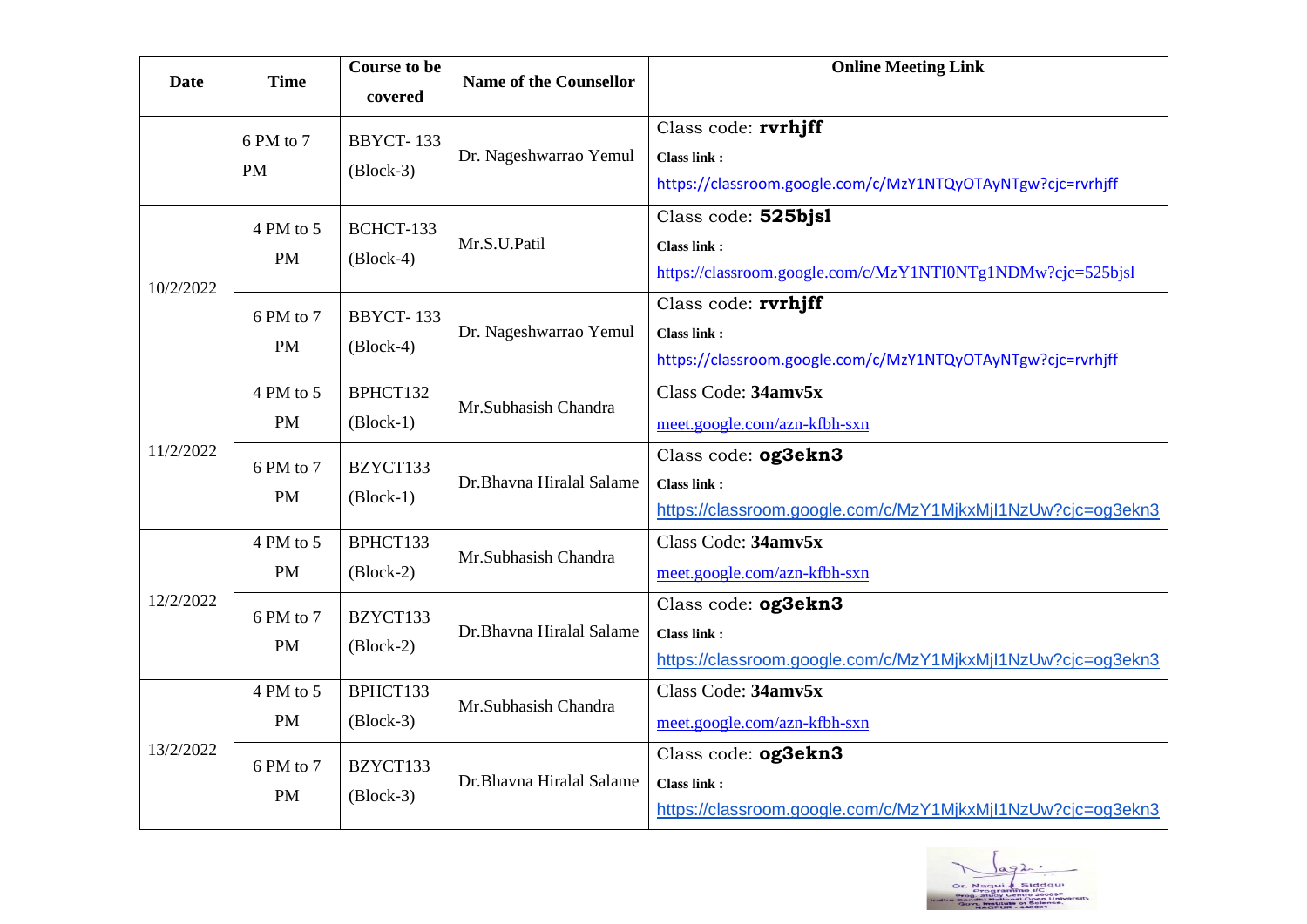| <b>Date</b> | <b>Time</b>            | <b>Course to be</b><br>covered  | <b>Name of the Counsellor</b> | <b>Online Meeting Link</b>                                                                               |
|-------------|------------------------|---------------------------------|-------------------------------|----------------------------------------------------------------------------------------------------------|
|             | 6 PM to 7<br><b>PM</b> | <b>BBYCT-133</b><br>$(Block-3)$ | Dr. Nageshwarrao Yemul        | Class code: rvrhjff<br><b>Class link:</b><br>https://classroom.google.com/c/MzY1NTQyOTAyNTgw?cjc=rvrhjff |
| 10/2/2022   | 4 PM to 5<br><b>PM</b> | BCHCT-133<br>$(Block-4)$        | Mr.S.U.Patil                  | Class code: 525bjsl<br><b>Class link:</b><br>https://classroom.google.com/c/MzY1NTI0NTg1NDMw?cjc=525bjsl |
|             | 6 PM to 7<br><b>PM</b> | <b>BBYCT-133</b><br>$(Block-4)$ | Dr. Nageshwarrao Yemul        | Class code: rvrhjff<br><b>Class link:</b><br>https://classroom.google.com/c/MzY1NTQyOTAyNTgw?cjc=rvrhjff |
| 11/2/2022   | 4 PM to 5<br><b>PM</b> | BPHCT132<br>$(Block-1)$         | Mr.Subhasish Chandra          | Class Code: 34amv5x<br>meet.google.com/azn-kfbh-sxn                                                      |
|             | 6 PM to 7<br><b>PM</b> | BZYCT133<br>$(Block-1)$         | Dr.Bhavna Hiralal Salame      | Class code: og3ekn3<br><b>Class link:</b><br>https://classroom.google.com/c/MzY1MjkxMjl1NzUw?cjc=og3ekn3 |
|             | 4 PM to 5<br><b>PM</b> | BPHCT133<br>$(Block-2)$         | Mr.Subhasish Chandra          | Class Code: 34amv5x<br>meet.google.com/azn-kfbh-sxn                                                      |
| 12/2/2022   | 6 PM to 7<br><b>PM</b> | BZYCT133<br>$(Block-2)$         | Dr.Bhavna Hiralal Salame      | Class code: og3ekn3<br><b>Class link:</b><br>https://classroom.google.com/c/MzY1MjkxMjl1NzUw?cjc=og3ekn3 |
| 13/2/2022   | 4 PM to 5<br><b>PM</b> | BPHCT133<br>$(Block-3)$         | Mr.Subhasish Chandra          | Class Code: 34amv5x<br>meet.google.com/azn-kfbh-sxn                                                      |
|             | 6 PM to 7<br><b>PM</b> | BZYCT133<br>$(Block-3)$         | Dr.Bhavna Hiralal Salame      | Class code: og3ekn3<br><b>Class link:</b><br>https://classroom.google.com/c/MzY1MjkxMjl1NzUw?cjc=og3ekn3 |

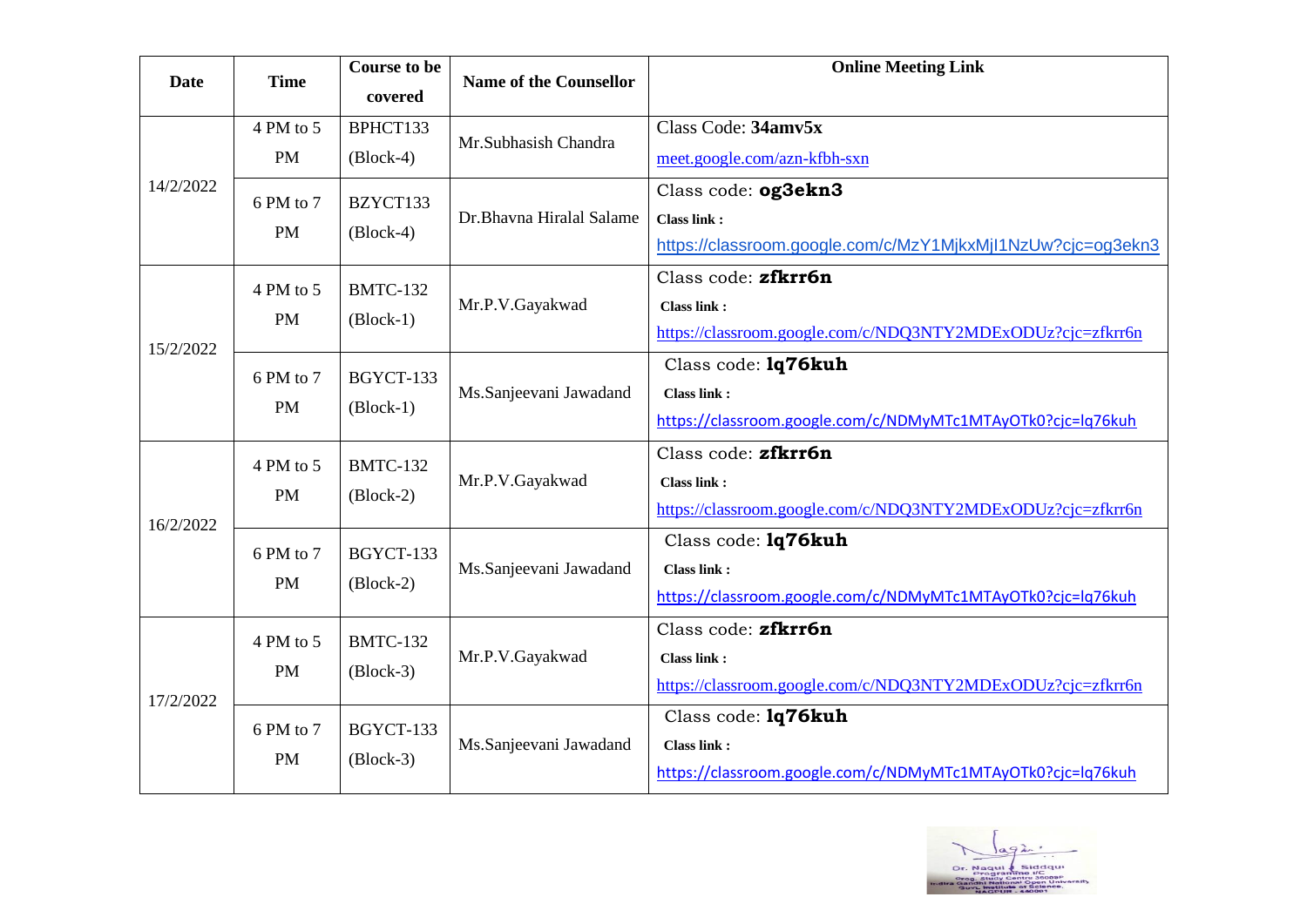| Date      | <b>Time</b>            | <b>Course to be</b><br>covered | <b>Name of the Counsellor</b> | <b>Online Meeting Link</b>                                                                               |
|-----------|------------------------|--------------------------------|-------------------------------|----------------------------------------------------------------------------------------------------------|
|           | 4 PM to 5<br><b>PM</b> | BPHCT133<br>$(Block-4)$        | Mr.Subhasish Chandra          | Class Code: 34amv5x<br>meet.google.com/azn-kfbh-sxn                                                      |
| 14/2/2022 | 6 PM to 7<br><b>PM</b> | BZYCT133<br>$(Block-4)$        | Dr.Bhavna Hiralal Salame      | Class code: og3ekn3<br><b>Class link:</b><br>https://classroom.google.com/c/MzY1MjkxMjl1NzUw?cjc=og3ekn3 |
| 15/2/2022 | 4 PM to 5<br><b>PM</b> | <b>BMTC-132</b><br>$(Block-1)$ | Mr.P.V.Gayakwad               | Class code: zfkrr6n<br><b>Class link:</b><br>https://classroom.google.com/c/NDQ3NTY2MDExODUz?cjc=zfkrr6n |
|           | 6 PM to 7<br><b>PM</b> | BGYCT-133<br>$(Block-1)$       | Ms.Sanjeevani Jawadand        | Class code: 1q76kuh<br><b>Class link:</b><br>https://classroom.google.com/c/NDMyMTc1MTAyOTk0?cjc=lq76kuh |
| 16/2/2022 | 4 PM to 5<br><b>PM</b> | <b>BMTC-132</b><br>$(Block-2)$ | Mr.P.V.Gayakwad               | Class code: zfkrr6n<br><b>Class link:</b><br>https://classroom.google.com/c/NDQ3NTY2MDExODUz?cjc=zfkrr6n |
|           | 6 PM to 7<br><b>PM</b> | BGYCT-133<br>$(Block-2)$       | Ms.Sanjeevani Jawadand        | Class code: 1q76kuh<br><b>Class link:</b><br>https://classroom.google.com/c/NDMyMTc1MTAyOTk0?cjc=lq76kuh |
| 17/2/2022 | 4 PM to 5<br><b>PM</b> | <b>BMTC-132</b><br>$(Block-3)$ | Mr.P.V.Gayakwad               | Class code: zfkrr6n<br><b>Class link:</b><br>https://classroom.google.com/c/NDQ3NTY2MDExODUz?cjc=zfkrr6n |
|           | 6 PM to 7<br><b>PM</b> | BGYCT-133<br>$(Block-3)$       | Ms.Sanjeevani Jawadand        | Class code: 1q76kuh<br><b>Class link:</b><br>https://classroom.google.com/c/NDMyMTc1MTAyOTk0?cjc=lq76kuh |

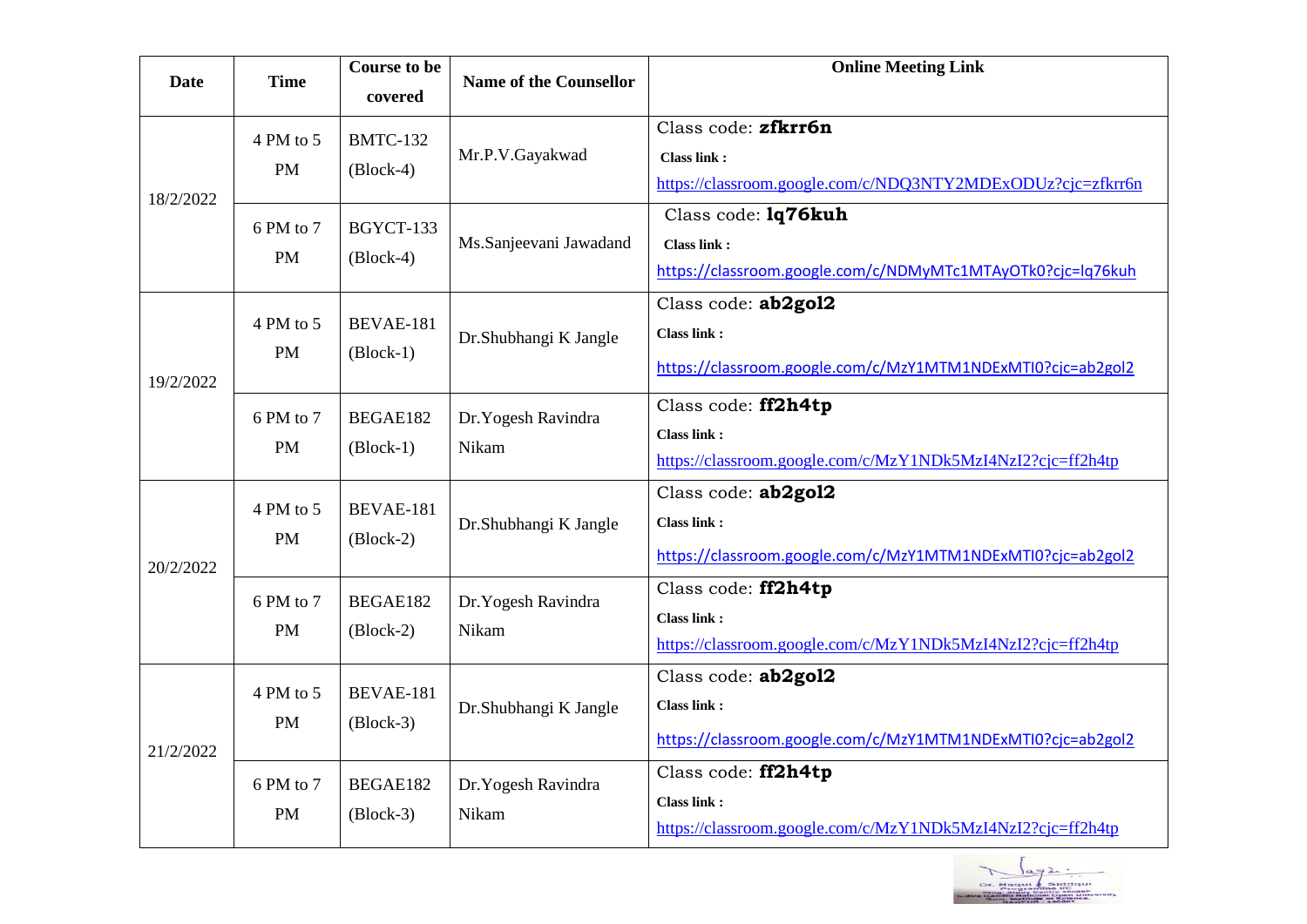| <b>Date</b> | <b>Time</b>            | <b>Course to be</b><br>covered  | <b>Name of the Counsellor</b> | <b>Online Meeting Link</b>                                                                               |
|-------------|------------------------|---------------------------------|-------------------------------|----------------------------------------------------------------------------------------------------------|
| 18/2/2022   | 4 PM to 5<br><b>PM</b> | <b>BMTC-132</b><br>$(Block-4)$  | Mr.P.V.Gayakwad               | Class code: zfkrr6n<br>Class link:<br>https://classroom.google.com/c/NDQ3NTY2MDExODUz?cjc=zfkrr6n        |
|             | 6 PM to 7<br><b>PM</b> | BGYCT-133<br>$(Block-4)$        | Ms.Sanjeevani Jawadand        | Class code: 1q76kuh<br><b>Class link:</b><br>https://classroom.google.com/c/NDMyMTc1MTAyOTk0?cjc=lq76kuh |
| 19/2/2022   | 4 PM to 5<br><b>PM</b> | <b>BEVAE-181</b><br>$(Block-1)$ | Dr.Shubhangi K Jangle         | Class code: ab2gol2<br><b>Class link:</b><br>https://classroom.google.com/c/MzY1MTM1NDExMTI0?cjc=ab2gol2 |
|             | 6 PM to 7<br><b>PM</b> | BEGAE182<br>$(Block-1)$         | Dr. Yogesh Ravindra<br>Nikam  | Class code: ff2h4tp<br><b>Class link:</b><br>https://classroom.google.com/c/MzY1NDk5MzI4NzI2?cjc=ff2h4tp |
| 20/2/2022   | 4 PM to 5<br><b>PM</b> | <b>BEVAE-181</b><br>$(Block-2)$ | Dr.Shubhangi K Jangle         | Class code: ab2gol2<br>Class link:<br>https://classroom.google.com/c/MzY1MTM1NDExMTI0?cjc=ab2gol2        |
|             | 6 PM to 7<br><b>PM</b> | BEGAE182<br>$(Block-2)$         | Dr. Yogesh Ravindra<br>Nikam  | Class code: ff2h4tp<br><b>Class link:</b><br>https://classroom.google.com/c/MzY1NDk5MzI4NzI2?cjc=ff2h4tp |
| 21/2/2022   | 4 PM to 5<br><b>PM</b> | BEVAE-181<br>$(Block-3)$        | Dr.Shubhangi K Jangle         | Class code: ab2gol2<br><b>Class link:</b><br>https://classroom.google.com/c/MzY1MTM1NDExMTI0?cjc=ab2gol2 |
|             | 6 PM to 7<br><b>PM</b> | BEGAE182<br>$(Block-3)$         | Dr. Yogesh Ravindra<br>Nikam  | Class code: ff2h4tp<br>Class link:<br>https://classroom.google.com/c/MzY1NDk5MzI4NzI2?cjc=ff2h4tp        |